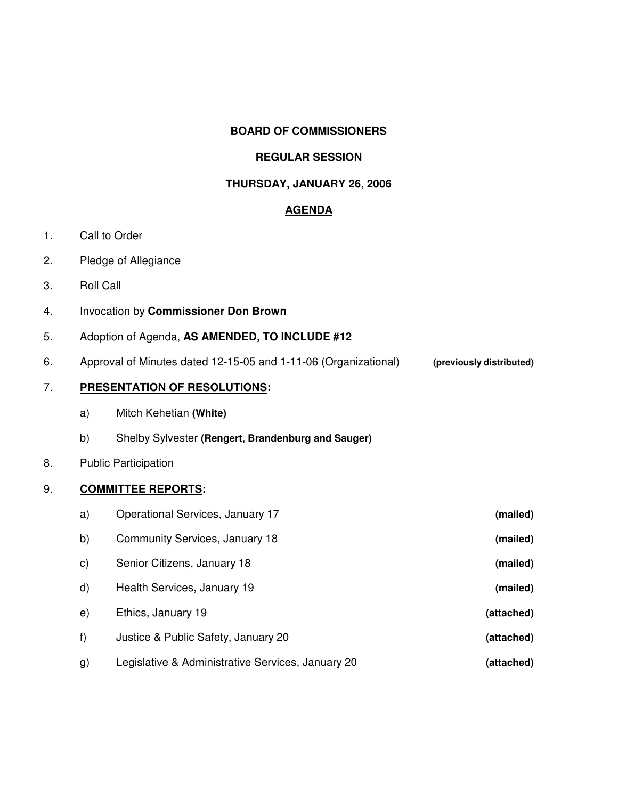### **BOARD OF COMMISSIONERS**

#### **REGULAR SESSION**

### **THURSDAY, JANUARY 26, 2006**

### **AGENDA**

- 1. Call to Order
- 2. Pledge of Allegiance
- 3. Roll Call
- 4. Invocation by **Commissioner Don Brown**
- 5. Adoption of Agenda, **AS AMENDED, TO INCLUDE #12**
- 6. Approval of Minutes dated 12-15-05 and 1-11-06 (Organizational) **(previously distributed)**

## 7. **PRESENTATION OF RESOLUTIONS:**

- a) Mitch Kehetian **(White)**
- b) Shelby Sylvester **(Rengert, Brandenburg and Sauger)**

### 8. Public Participation

### 9. **COMMITTEE REPORTS:**

| a)           | Operational Services, January 17                  | (mailed)   |
|--------------|---------------------------------------------------|------------|
| b)           | Community Services, January 18                    | (mailed)   |
| $\mathsf{c}$ | Senior Citizens, January 18                       | (mailed)   |
| d)           | Health Services, January 19                       | (mailed)   |
| e)           | Ethics, January 19                                | (attached) |
| f)           | Justice & Public Safety, January 20               | (attached) |
| g)           | Legislative & Administrative Services, January 20 | (attached) |